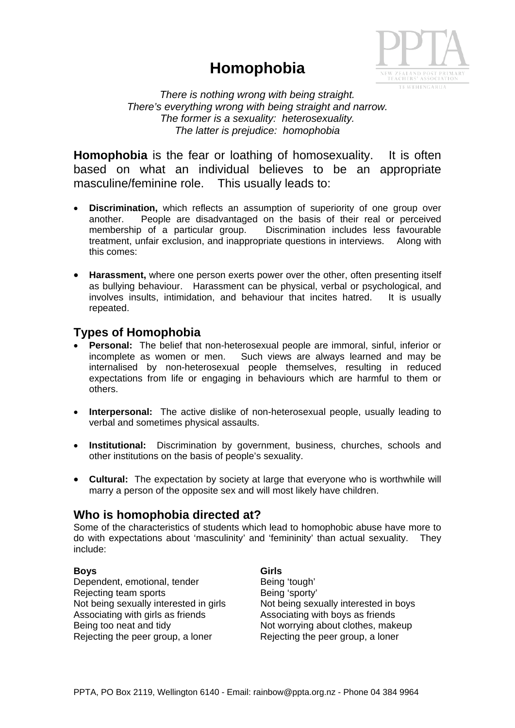# **Homophobia**



*There is nothing wrong with being straight. There's everything wrong with being straight and narrow. The former is a sexuality: heterosexuality. The latter is prejudice: homophobia*

**Homophobia** is the fear or loathing of homosexuality. It is often based on what an individual believes to be an appropriate masculine/feminine role. This usually leads to:

- **Discrimination,** which reflects an assumption of superiority of one group over another. People are disadvantaged on the basis of their real or perceived membership of a particular group. Discrimination includes less favourable treatment, unfair exclusion, and inappropriate questions in interviews. Along with this comes:
- **Harassment,** where one person exerts power over the other, often presenting itself as bullying behaviour. Harassment can be physical, verbal or psychological, and involves insults, intimidation, and behaviour that incites hatred. It is usually repeated.

## **Types of Homophobia**

- **Personal:** The belief that non-heterosexual people are immoral, sinful, inferior or incomplete as women or men. Such views are always learned and may be internalised by non-heterosexual people themselves, resulting in reduced expectations from life or engaging in behaviours which are harmful to them or others.
- **Interpersonal:** The active dislike of non-heterosexual people, usually leading to verbal and sometimes physical assaults.
- **Institutional:** Discrimination by government, business, churches, schools and other institutions on the basis of people's sexuality.
- **Cultural:** The expectation by society at large that everyone who is worthwhile will marry a person of the opposite sex and will most likely have children.

## **Who is homophobia directed at?**

Some of the characteristics of students which lead to homophobic abuse have more to do with expectations about 'masculinity' and 'femininity' than actual sexuality. They include:

#### **Boys** Girls **Girls**

Dependent, emotional, tender Being 'tough' Rejecting team sports **Being** 'sporty' Associating with girls as friends Associating with boys as friends Rejecting the peer group, a loner **Rejecting the peer group, a loner** 

Not being sexually interested in girls Not being sexually interested in boys Being too neat and tidy example about clothes, makeup